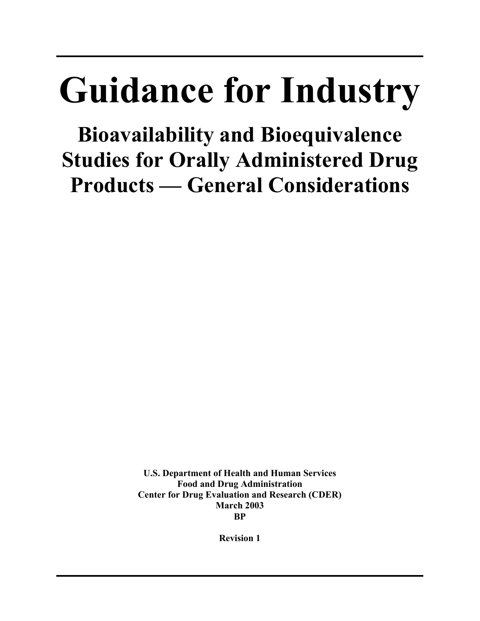# **Guidance for Industry**

<span id="page-0-0"></span>**Bioavailability and Bioequivalence Studies for Orally Administered Drug Products — General Considerations**

> **U.S. Department of Health and Human Services Food and Drug Administration Center for Drug Evaluation and Research (CDER) March 2003 BP**

> > **Revision 1**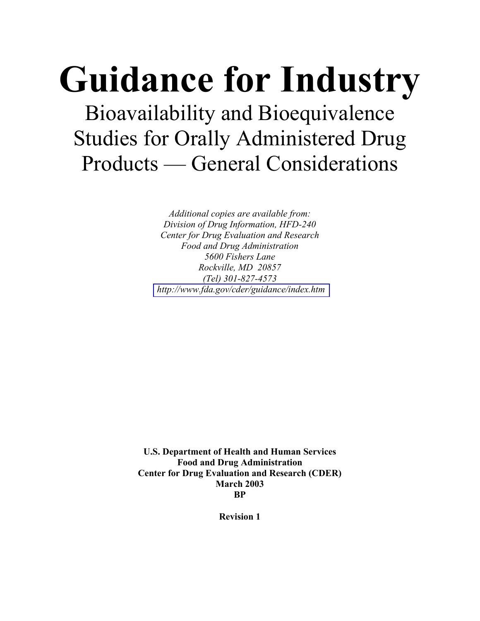# **Guidance for Industry** Bioavailability and Bioequivalence Studies for Orally Administered Drug Products — General Considerations

*Additional copies are available from: Division of Drug Information, HFD-240 Center for Drug Evaluation and Research Food and Drug Administration 5600 Fishers Lane Rockville, MD 20857 (Tel) 301-827-4573 <http://www.fda.gov/cder/guidance/index.htm>*

**U.S. Department of Health and Human Services Food and Drug Administration Center for Drug Evaluation and Research (CDER) March 2003 BP**

**Revision 1**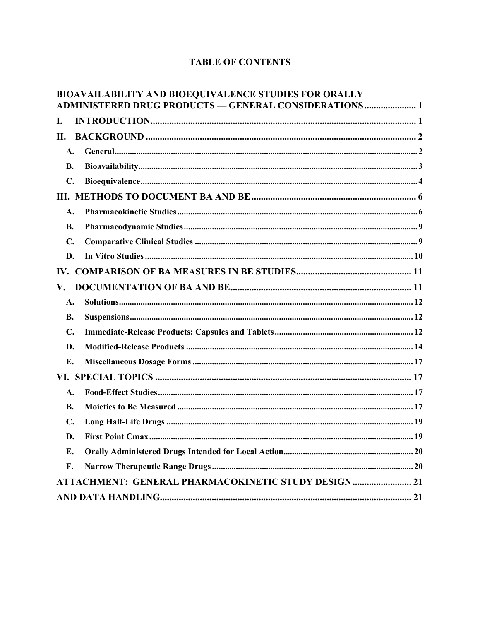# **TABLE OF CONTENTS**

|                | <b>BIOAVAILABILITY AND BIOEQUIVALENCE STUDIES FOR ORALLY</b><br>ADMINISTERED DRUG PRODUCTS - GENERAL CONSIDERATIONS 1 |  |
|----------------|-----------------------------------------------------------------------------------------------------------------------|--|
| I.             |                                                                                                                       |  |
| П.             |                                                                                                                       |  |
| $\mathbf{A}$ . |                                                                                                                       |  |
| <b>B.</b>      |                                                                                                                       |  |
| $\mathbf{C}$ . |                                                                                                                       |  |
|                |                                                                                                                       |  |
|                |                                                                                                                       |  |
| A.             |                                                                                                                       |  |
| <b>B.</b>      |                                                                                                                       |  |
| $\mathbf{C}$ . |                                                                                                                       |  |
| D.             |                                                                                                                       |  |
| IV.            |                                                                                                                       |  |
| V.             |                                                                                                                       |  |
| A.             |                                                                                                                       |  |
| <b>B.</b>      |                                                                                                                       |  |
| $\mathbf{C}$ . |                                                                                                                       |  |
| D.             |                                                                                                                       |  |
| Е.             |                                                                                                                       |  |
|                |                                                                                                                       |  |
| A.             |                                                                                                                       |  |
| <b>B.</b>      |                                                                                                                       |  |
| $\mathbf{C}$ . |                                                                                                                       |  |
| D.             |                                                                                                                       |  |
| Е.             |                                                                                                                       |  |
| F.             |                                                                                                                       |  |
|                | ATTACHMENT: GENERAL PHARMACOKINETIC STUDY DESIGN  21                                                                  |  |
|                |                                                                                                                       |  |
|                |                                                                                                                       |  |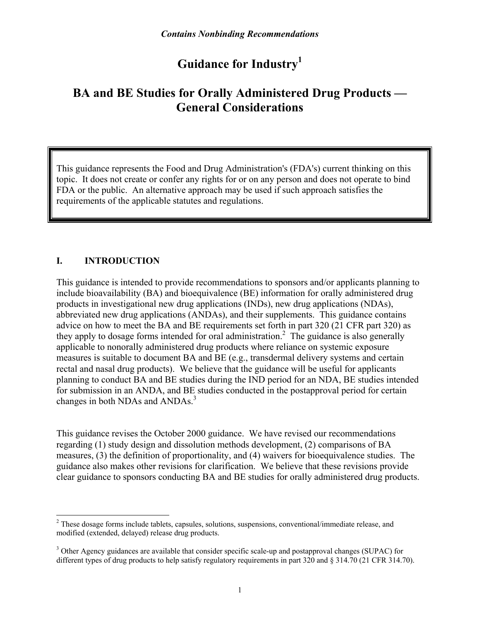# **Guidance for Industry<sup>1</sup>**

# **BA and BE Studies for Orally Administered Drug Products — General Considerations**

This guidance represents the Food and Drug Administration's (FDA's) current thinking on this topic. It does not create or confer any rights for or on any person and does not operate to bind FDA or the public. An alternative approach may be used if such approach satisfies the requirements of the applicable statutes and regulations.

# <span id="page-3-0"></span>**I. INTRODUCTION**

 $\overline{a}$ 

This guidance is intended to provide recommendations to sponsors and/or applicants planning to include bioavailability (BA) and bioequivalence (BE) information for orally administered drug products in investigational new drug applications (INDs), new drug applications (NDAs), abbreviated new drug applications (ANDAs), and their supplements. This guidance contains advice on how to meet the BA and BE requirements set forth in part 320 (21 CFR part 320) as they apply to dosage forms intended for oral administration.<sup>2</sup> The guidance is also generally applicable to nonorally administered drug products where reliance on systemic exposure measures is suitable to document BA and BE (e.g., transdermal delivery systems and certain rectal and nasal drug products). We believe that the guidance will be useful for applicants planning to conduct BA and BE studies during the IND period for an NDA, BE studies intended for submission in an ANDA, and BE studies conducted in the postapproval period for certain changes in both NDAs and ANDAs.<sup>[3](#page-3-2)</sup>

This guidance revises the October 2000 guidance. We have revised our recommendations regarding (1) study design and dissolution methods development, (2) comparisons of BA measures, (3) the definition of proportionality, and (4) waivers for bioequivalence studies. The guidance also makes other revisions for clarification. We believe that these revisions provide clear guidance to sponsors conducting BA and BE studies for orally administered drug products.

<span id="page-3-1"></span><sup>&</sup>lt;sup>2</sup> These dosage forms include tablets, capsules, solutions, suspensions, conventional/immediate release, and modified (extended, delayed) release drug products.

<span id="page-3-2"></span><sup>&</sup>lt;sup>3</sup> Other Agency guidances are available that consider specific scale-up and postapproval changes (SUPAC) for different types of drug products to help satisfy regulatory requirements in part 320 and § 314.70 (21 CFR 314.70).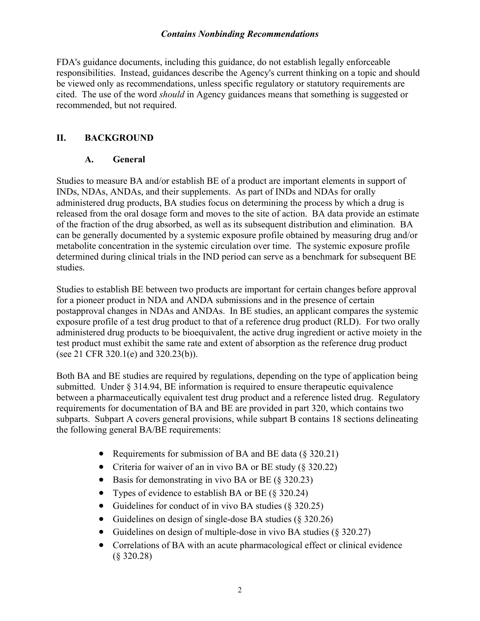FDA's guidance documents, including this guidance, do not establish legally enforceable responsibilities. Instead, guidances describe the Agency's current thinking on a topic and should be viewed only as recommendations, unless specific regulatory or statutory requirements are cited. The use of the word *should* in Agency guidances means that something is suggested or recommended, but not required.

# **II. BACKGROUND**

# <span id="page-4-1"></span><span id="page-4-0"></span>**A. General**

Studies to measure BA and/or establish BE of a product are important elements in support of INDs, NDAs, ANDAs, and their supplements. As part of INDs and NDAs for orally administered drug products, BA studies focus on determining the process by which a drug is released from the oral dosage form and moves to the site of action. BA data provide an estimate of the fraction of the drug absorbed, as well as its subsequent distribution and elimination. BA can be generally documented by a systemic exposure profile obtained by measuring drug and/or metabolite concentration in the systemic circulation over time. The systemic exposure profile determined during clinical trials in the IND period can serve as a benchmark for subsequent BE studies.

Studies to establish BE between two products are important for certain changes before approval for a pioneer product in NDA and ANDA submissions and in the presence of certain postapproval changes in NDAs and ANDAs. In BE studies, an applicant compares the systemic exposure profile of a test drug product to that of a reference drug product (RLD). For two orally administered drug products to be bioequivalent, the active drug ingredient or active moiety in the test product must exhibit the same rate and extent of absorption as the reference drug product (see 21 CFR 320.1(e) and 320.23(b)).

Both BA and BE studies are required by regulations, depending on the type of application being submitted. Under § 314.94, BE information is required to ensure therapeutic equivalence between a pharmaceutically equivalent test drug product and a reference listed drug. Regulatory requirements for documentation of BA and BE are provided in part 320, which contains two subparts. Subpart A covers general provisions, while subpart B contains 18 sections delineating the following general BA/BE requirements:

- Requirements for submission of BA and BE data  $(\S$  320.21)
- Criteria for waiver of an in vivo BA or BE study (§ 320.22)
- Basis for demonstrating in vivo BA or BE (§ 320.23)
- Types of evidence to establish BA or BE (§ 320.24)
- Guidelines for conduct of in vivo BA studies  $(\S$  320.25)
- Guidelines on design of single-dose BA studies (§ 320.26)
- Guidelines on design of multiple-dose in vivo BA studies (§ 320.27)
- Correlations of BA with an acute pharmacological effect or clinical evidence (§ 320.28)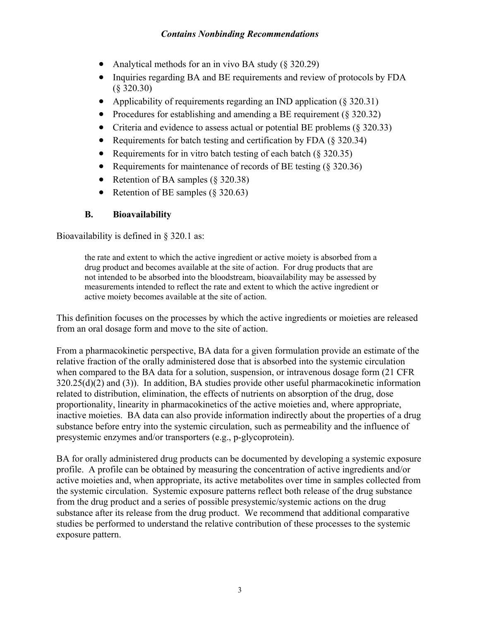- Analytical methods for an in vivo BA study (§ 320.29)
- Inquiries regarding BA and BE requirements and review of protocols by FDA (§ 320.30)
- Applicability of requirements regarding an IND application (§ 320.31)
- Procedures for establishing and amending a BE requirement (§ 320.32)
- Criteria and evidence to assess actual or potential BE problems (§ 320.33)
- Requirements for batch testing and certification by FDA (§ 320.34)
- Requirements for in vitro batch testing of each batch  $(\S 320.35)$
- Requirements for maintenance of records of BE testing (§ 320.36)
- Retention of BA samples (§ 320.38)
- Retention of BE samples (§ 320.63)

# <span id="page-5-0"></span>**B. Bioavailability**

Bioavailability is defined in § 320.1 as:

the rate and extent to which the active ingredient or active moiety is absorbed from a drug product and becomes available at the site of action. For drug products that are not intended to be absorbed into the bloodstream, bioavailability may be assessed by measurements intended to reflect the rate and extent to which the active ingredient or active moiety becomes available at the site of action.

This definition focuses on the processes by which the active ingredients or moieties are released from an oral dosage form and move to the site of action.

From a pharmacokinetic perspective, BA data for a given formulation provide an estimate of the relative fraction of the orally administered dose that is absorbed into the systemic circulation when compared to the BA data for a solution, suspension, or intravenous dosage form (21 CFR 320.25(d)(2) and (3)). In addition, BA studies provide other useful pharmacokinetic information related to distribution, elimination, the effects of nutrients on absorption of the drug, dose proportionality, linearity in pharmacokinetics of the active moieties and, where appropriate, inactive moieties. BA data can also provide information indirectly about the properties of a drug substance before entry into the systemic circulation, such as permeability and the influence of presystemic enzymes and/or transporters (e.g., p-glycoprotein).

BA for orally administered drug products can be documented by developing a systemic exposure profile. A profile can be obtained by measuring the concentration of active ingredients and/or active moieties and, when appropriate, its active metabolites over time in samples collected from the systemic circulation. Systemic exposure patterns reflect both release of the drug substance from the drug product and a series of possible presystemic/systemic actions on the drug substance after its release from the drug product. We recommend that additional comparative studies be performed to understand the relative contribution of these processes to the systemic exposure pattern.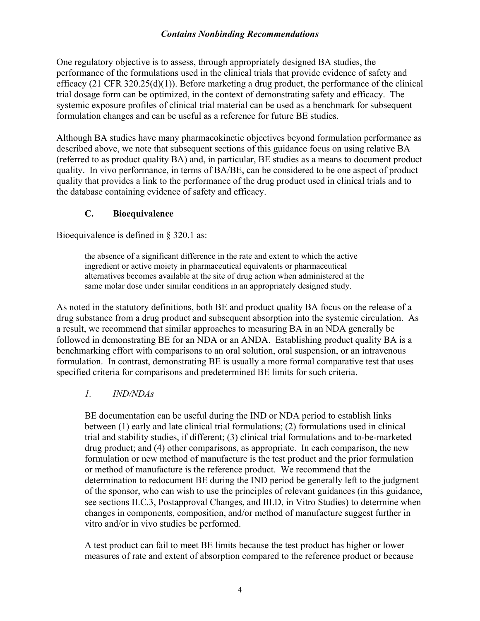One regulatory objective is to assess, through appropriately designed BA studies, the performance of the formulations used in the clinical trials that provide evidence of safety and efficacy (21 CFR 320.25(d)(1)). Before marketing a drug product, the performance of the clinical trial dosage form can be optimized, in the context of demonstrating safety and efficacy. The systemic exposure profiles of clinical trial material can be used as a benchmark for subsequent formulation changes and can be useful as a reference for future BE studies.

Although BA studies have many pharmacokinetic objectives beyond formulation performance as described above, we note that subsequent sections of this guidance focus on using relative BA (referred to as product quality BA) and, in particular, BE studies as a means to document product quality. In vivo performance, in terms of BA/BE, can be considered to be one aspect of product quality that provides a link to the performance of the drug product used in clinical trials and to the database containing evidence of safety and efficacy.

# <span id="page-6-0"></span>**C. Bioequivalence**

Bioequivalence is defined in § 320.1 as:

the absence of a significant difference in the rate and extent to which the active ingredient or active moiety in pharmaceutical equivalents or pharmaceutical alternatives becomes available at the site of drug action when administered at the same molar dose under similar conditions in an appropriately designed study.

As noted in the statutory definitions, both BE and product quality BA focus on the release of a drug substance from a drug product and subsequent absorption into the systemic circulation. As a result, we recommend that similar approaches to measuring BA in an NDA generally be followed in demonstrating BE for an NDA or an ANDA. Establishing product quality BA is a benchmarking effort with comparisons to an oral solution, oral suspension, or an intravenous formulation. In contrast, demonstrating BE is usually a more formal comparative test that uses specified criteria for comparisons and predetermined BE limits for such criteria.

*1. IND/NDAs*

BE documentation can be useful during the IND or NDA period to establish links between (1) early and late clinical trial formulations; (2) formulations used in clinical trial and stability studies, if different; (3) clinical trial formulations and to-be-marketed drug product; and (4) other comparisons, as appropriate. In each comparison, the new formulation or new method of manufacture is the test product and the prior formulation or method of manufacture is the reference product. We recommend that the determination to redocument BE during the IND period be generally left to the judgment of the sponsor, who can wish to use the principles of relevant guidances (in this guidance, see sections II.C.3, Postapproval Changes, and III.D, in Vitro Studies) to determine when changes in components, composition, and/or method of manufacture suggest further in vitro and/or in vivo studies be performed.

A test product can fail to meet BE limits because the test product has higher or lower measures of rate and extent of absorption compared to the reference product or because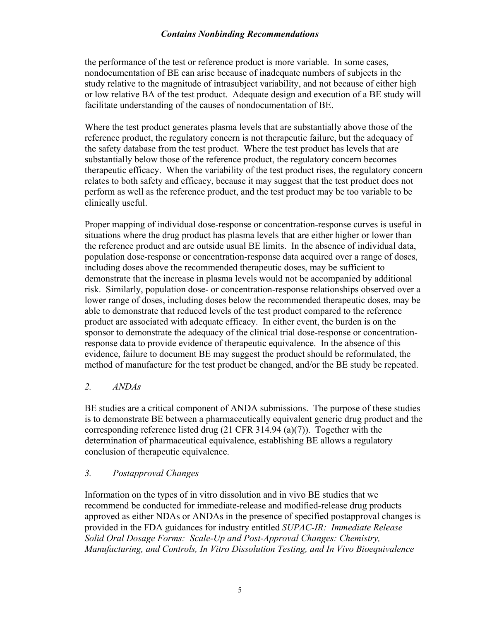the performance of the test or reference product is more variable. In some cases, nondocumentation of BE can arise because of inadequate numbers of subjects in the study relative to the magnitude of intrasubject variability, and not because of either high or low relative BA of the test product. Adequate design and execution of a BE study will facilitate understanding of the causes of nondocumentation of BE.

Where the test product generates plasma levels that are substantially above those of the reference product, the regulatory concern is not therapeutic failure, but the adequacy of the safety database from the test product. Where the test product has levels that are substantially below those of the reference product, the regulatory concern becomes therapeutic efficacy. When the variability of the test product rises, the regulatory concern relates to both safety and efficacy, because it may suggest that the test product does not perform as well as the reference product, and the test product may be too variable to be clinically useful.

Proper mapping of individual dose-response or concentration-response curves is useful in situations where the drug product has plasma levels that are either higher or lower than the reference product and are outside usual BE limits. In the absence of individual data, population dose-response or concentration-response data acquired over a range of doses, including doses above the recommended therapeutic doses, may be sufficient to demonstrate that the increase in plasma levels would not be accompanied by additional risk. Similarly, population dose- or concentration-response relationships observed over a lower range of doses, including doses below the recommended therapeutic doses, may be able to demonstrate that reduced levels of the test product compared to the reference product are associated with adequate efficacy. In either event, the burden is on the sponsor to demonstrate the adequacy of the clinical trial dose-response or concentrationresponse data to provide evidence of therapeutic equivalence. In the absence of this evidence, failure to document BE may suggest the product should be reformulated, the method of manufacture for the test product be changed, and/or the BE study be repeated.

# *2. ANDAs*

BE studies are a critical component of ANDA submissions. The purpose of these studies is to demonstrate BE between a pharmaceutically equivalent generic drug product and the corresponding reference listed drug (21 CFR 314.94 (a)(7)). Together with the determination of pharmaceutical equivalence, establishing BE allows a regulatory conclusion of therapeutic equivalence.

# *3. Postapproval Changes*

Information on the types of in vitro dissolution and in vivo BE studies that we recommend be conducted for immediate-release and modified-release drug products approved as either NDAs or ANDAs in the presence of specified postapproval changes is provided in the FDA guidances for industry entitled *SUPAC-IR: Immediate Release Solid Oral Dosage Forms: Scale-Up and Post-Approval Changes: Chemistry, Manufacturing, and Controls, In Vitro Dissolution Testing, and In Vivo Bioequivalence*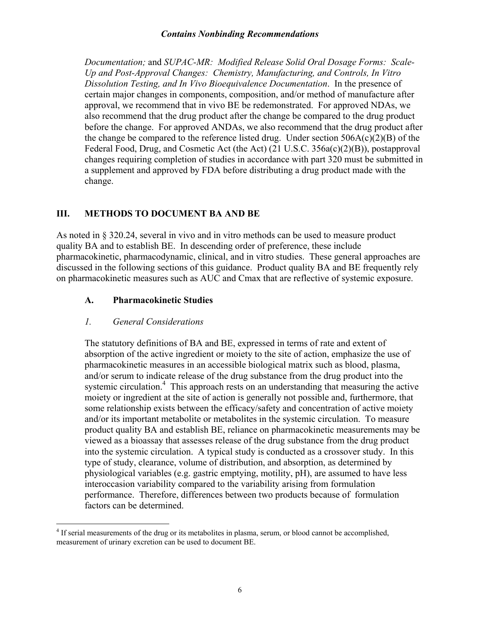*Documentation;* and *SUPAC-MR: Modified Release Solid Oral Dosage Forms: Scale-Up and Post-Approval Changes: Chemistry, Manufacturing, and Controls, In Vitro Dissolution Testing, and In Vivo Bioequivalence Documentation*. In the presence of certain major changes in components, composition, and/or method of manufacture after approval, we recommend that in vivo BE be redemonstrated. For approved NDAs, we also recommend that the drug product after the change be compared to the drug product before the change. For approved ANDAs, we also recommend that the drug product after the change be compared to the reference listed drug. Under section  $506A(c)(2)(B)$  of the Federal Food, Drug, and Cosmetic Act (the Act) (21 U.S.C. 356a(c)(2)(B)), postapproval changes requiring completion of studies in accordance with part 320 must be submitted in a supplement and approved by FDA before distributing a drug product made with the change.

# <span id="page-8-0"></span>**III. METHODS TO DOCUMENT BA AND BE**

As noted in § 320.24, several in vivo and in vitro methods can be used to measure product quality BA and to establish BE. In descending order of preference, these include pharmacokinetic, pharmacodynamic, clinical, and in vitro studies. These general approaches are discussed in the following sections of this guidance. Product quality BA and BE frequently rely on pharmacokinetic measures such as AUC and Cmax that are reflective of systemic exposure.

# <span id="page-8-1"></span>**A. Pharmacokinetic Studies**

# *1. General Considerations*

 $\overline{a}$ 

The statutory definitions of BA and BE, expressed in terms of rate and extent of absorption of the active ingredient or moiety to the site of action, emphasize the use of pharmacokinetic measures in an accessible biological matrix such as blood, plasma, and/or serum to indicate release of the drug substance from the drug product into the systemic circulation.<sup>4</sup> This approach rests on an understanding that measuring the active moiety or ingredient at the site of action is generally not possible and, furthermore, that some relationship exists between the efficacy/safety and concentration of active moiety and/or its important metabolite or metabolites in the systemic circulation. To measure product quality BA and establish BE, reliance on pharmacokinetic measurements may be viewed as a bioassay that assesses release of the drug substance from the drug product into the systemic circulation. A typical study is conducted as a crossover study. In this type of study, clearance, volume of distribution, and absorption, as determined by physiological variables (e.g. gastric emptying, motility, pH), are assumed to have less interoccasion variability compared to the variability arising from formulation performance. Therefore, differences between two products because of formulation factors can be determined.

<span id="page-8-2"></span><sup>4</sup> If serial measurements of the drug or its metabolites in plasma, serum, or blood cannot be accomplished, measurement of urinary excretion can be used to document BE.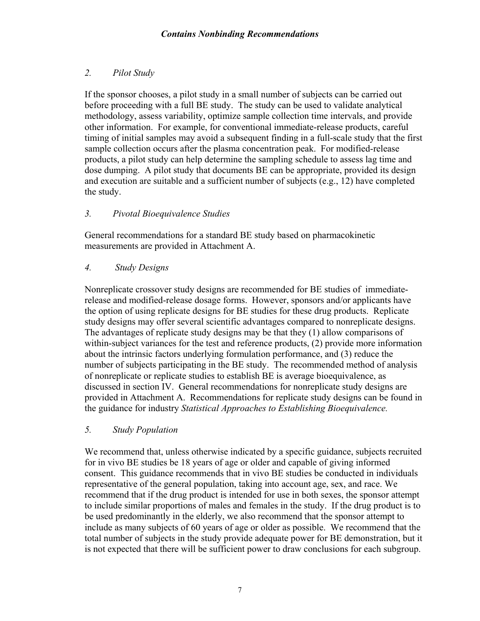# *2. Pilot Study*

If the sponsor chooses, a pilot study in a small number of subjects can be carried out before proceeding with a full BE study. The study can be used to validate analytical methodology, assess variability, optimize sample collection time intervals, and provide other information. For example, for conventional immediate-release products, careful timing of initial samples may avoid a subsequent finding in a full-scale study that the first sample collection occurs after the plasma concentration peak. For modified-release products, a pilot study can help determine the sampling schedule to assess lag time and dose dumping. A pilot study that documents BE can be appropriate, provided its design and execution are suitable and a sufficient number of subjects (e.g., 12) have completed the study.

# *3. Pivotal Bioequivalence Studies*

General recommendations for a standard BE study based on pharmacokinetic measurements are provided in Attachment A.

# *4. Study Designs*

Nonreplicate crossover study designs are recommended for BE studies of immediaterelease and modified-release dosage forms. However, sponsors and/or applicants have the option of using replicate designs for BE studies for these drug products. Replicate study designs may offer several scientific advantages compared to nonreplicate designs. The advantages of replicate study designs may be that they (1) allow comparisons of within-subject variances for the test and reference products, (2) provide more information about the intrinsic factors underlying formulation performance, and (3) reduce the number of subjects participating in the BE study. The recommended method of analysis of nonreplicate or replicate studies to establish BE is average bioequivalence, as discussed in section IV. General recommendations for nonreplicate study designs are provided in Attachment A. Recommendations for replicate study designs can be found in the guidance for industry *Statistical Approaches to Establishing Bioequivalence.*

# *5. Study Population*

We recommend that, unless otherwise indicated by a specific guidance, subjects recruited for in vivo BE studies be 18 years of age or older and capable of giving informed consent. This guidance recommends that in vivo BE studies be conducted in individuals representative of the general population, taking into account age, sex, and race. We recommend that if the drug product is intended for use in both sexes, the sponsor attempt to include similar proportions of males and females in the study. If the drug product is to be used predominantly in the elderly, we also recommend that the sponsor attempt to include as many subjects of 60 years of age or older as possible. We recommend that the total number of subjects in the study provide adequate power for BE demonstration, but it is not expected that there will be sufficient power to draw conclusions for each subgroup.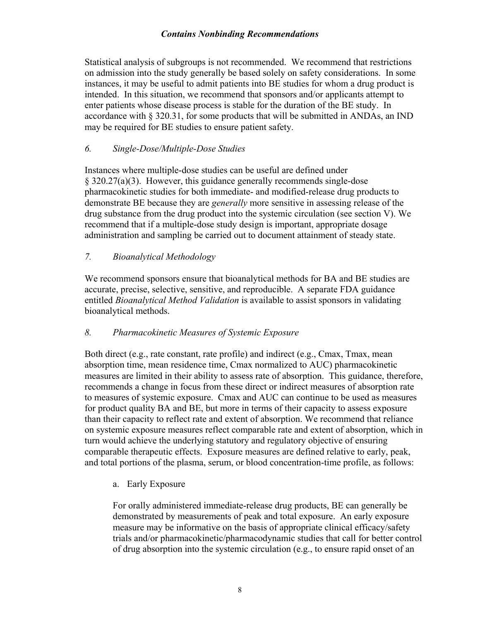Statistical analysis of subgroups is not recommended. We recommend that restrictions on admission into the study generally be based solely on safety considerations. In some instances, it may be useful to admit patients into BE studies for whom a drug product is intended. In this situation, we recommend that sponsors and/or applicants attempt to enter patients whose disease process is stable for the duration of the BE study. In accordance with § 320.31, for some products that will be submitted in ANDAs, an IND may be required for BE studies to ensure patient safety.

#### *6. Single-Dose/Multiple-Dose Studies*

Instances where multiple-dose studies can be useful are defined under § 320.27(a)(3). However, this guidance generally recommends single-dose pharmacokinetic studies for both immediate- and modified-release drug products to demonstrate BE because they are *generally* more sensitive in assessing release of the drug substance from the drug product into the systemic circulation (see section V). We recommend that if a multiple-dose study design is important, appropriate dosage administration and sampling be carried out to document attainment of steady state.

# *7. Bioanalytical Methodology*

We recommend sponsors ensure that bioanalytical methods for BA and BE studies are accurate, precise, selective, sensitive, and reproducible. A separate FDA guidance entitled *Bioanalytical Method Validation* is available to assist sponsors in validating bioanalytical methods.

# *8. Pharmacokinetic Measures of Systemic Exposure*

Both direct (e.g., rate constant, rate profile) and indirect (e.g., Cmax, Tmax, mean absorption time, mean residence time, Cmax normalized to AUC) pharmacokinetic measures are limited in their ability to assess rate of absorption. This guidance, therefore, recommends a change in focus from these direct or indirect measures of absorption rate to measures of systemic exposure. Cmax and AUC can continue to be used as measures for product quality BA and BE, but more in terms of their capacity to assess exposure than their capacity to reflect rate and extent of absorption. We recommend that reliance on systemic exposure measures reflect comparable rate and extent of absorption, which in turn would achieve the underlying statutory and regulatory objective of ensuring comparable therapeutic effects. Exposure measures are defined relative to early, peak, and total portions of the plasma, serum, or blood concentration-time profile, as follows:

#### a. Early Exposure

For orally administered immediate-release drug products, BE can generally be demonstrated by measurements of peak and total exposure. An early exposure measure may be informative on the basis of appropriate clinical efficacy/safety trials and/or pharmacokinetic/pharmacodynamic studies that call for better control of drug absorption into the systemic circulation (e.g., to ensure rapid onset of an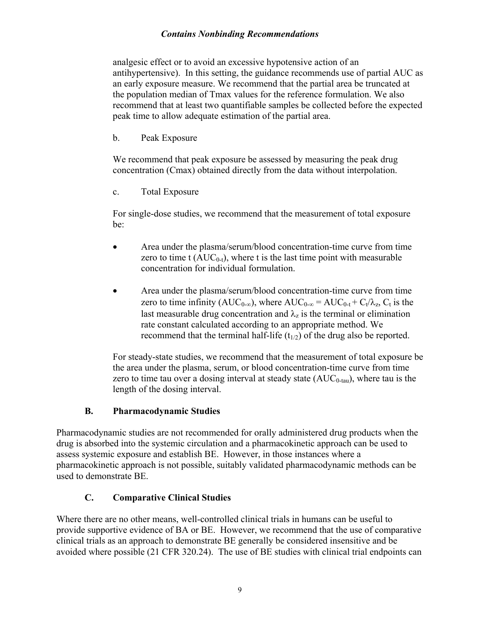analgesic effect or to avoid an excessive hypotensive action of an antihypertensive). In this setting, the guidance recommends use of partial AUC as an early exposure measure. We recommend that the partial area be truncated at the population median of Tmax values for the reference formulation. We also recommend that at least two quantifiable samples be collected before the expected peak time to allow adequate estimation of the partial area.

b. Peak Exposure

We recommend that peak exposure be assessed by measuring the peak drug concentration (Cmax) obtained directly from the data without interpolation.

c. Total Exposure

For single-dose studies, we recommend that the measurement of total exposure be:

- Area under the plasma/serum/blood concentration-time curve from time zero to time t  $(AUC_{0-t})$ , where t is the last time point with measurable concentration for individual formulation.
- Area under the plasma/serum/blood concentration-time curve from time zero to time infinity (AUC<sub>0-∞</sub>), where AUC<sub>0-∞</sub> = AUC<sub>0-t</sub> + C<sub>t</sub>/ $\lambda$ <sub>z</sub>, C<sub>t</sub> is the last measurable drug concentration and  $\lambda_z$  is the terminal or elimination rate constant calculated according to an appropriate method. We recommend that the terminal half-life  $(t_{1/2})$  of the drug also be reported.

For steady-state studies, we recommend that the measurement of total exposure be the area under the plasma, serum, or blood concentration-time curve from time zero to time tau over a dosing interval at steady state  $(AUC_{0-tau})$ , where tau is the length of the dosing interval.

# <span id="page-11-0"></span>**B. Pharmacodynamic Studies**

Pharmacodynamic studies are not recommended for orally administered drug products when the drug is absorbed into the systemic circulation and a pharmacokinetic approach can be used to assess systemic exposure and establish BE. However, in those instances where a pharmacokinetic approach is not possible, suitably validated pharmacodynamic methods can be used to demonstrate BE.

# <span id="page-11-1"></span>**C. Comparative Clinical Studies**

Where there are no other means, well-controlled clinical trials in humans can be useful to provide supportive evidence of BA or BE. However, we recommend that the use of comparative clinical trials as an approach to demonstrate BE generally be considered insensitive and be avoided where possible (21 CFR 320.24). The use of BE studies with clinical trial endpoints can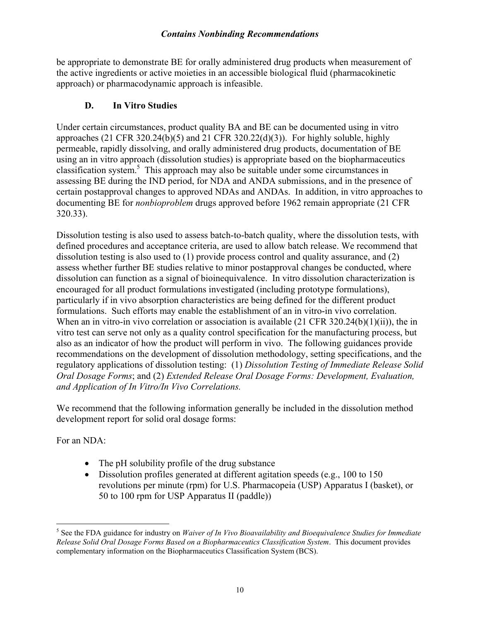be appropriate to demonstrate BE for orally administered drug products when measurement of the active ingredients or active moieties in an accessible biological fluid (pharmacokinetic approach) or pharmacodynamic approach is infeasible.

# <span id="page-12-0"></span>**D. In Vitro Studies**

Under certain circumstances, product quality BA and BE can be documented using in vitro approaches (21 CFR 320.24(b)(5) and 21 CFR 320.22(d)(3)). For highly soluble, highly permeable, rapidly dissolving, and orally administered drug products, documentation of BE using an in vitro approach (dissolution studies) is appropriate based on the biopharmaceutics classification system[.5](#page-12-1) This approach may also be suitable under some circumstances in assessing BE during the IND period, for NDA and ANDA submissions, and in the presence of certain postapproval changes to approved NDAs and ANDAs. In addition, in vitro approaches to documenting BE for *nonbioproblem* drugs approved before 1962 remain appropriate (21 CFR 320.33).

Dissolution testing is also used to assess batch-to-batch quality, where the dissolution tests, with defined procedures and acceptance criteria, are used to allow batch release. We recommend that dissolution testing is also used to (1) provide process control and quality assurance, and (2) assess whether further BE studies relative to minor postapproval changes be conducted, where dissolution can function as a signal of bioinequivalence. In vitro dissolution characterization is encouraged for all product formulations investigated (including prototype formulations), particularly if in vivo absorption characteristics are being defined for the different product formulations. Such efforts may enable the establishment of an in vitro-in vivo correlation. When an in vitro-in vivo correlation or association is available  $(21 \text{ CFR } 320.24(b)(1)(ii))$ , the in vitro test can serve not only as a quality control specification for the manufacturing process, but also as an indicator of how the product will perform in vivo. The following guidances provide recommendations on the development of dissolution methodology, setting specifications, and the regulatory applications of dissolution testing: (1) *Dissolution Testing of Immediate Release Solid Oral Dosage Forms*; and (2) *Extended Release Oral Dosage Forms: Development, Evaluation, and Application of In Vitro/In Vivo Correlations.*

We recommend that the following information generally be included in the dissolution method development report for solid oral dosage forms:

For an NDA:

 $\overline{a}$ 

- The pH solubility profile of the drug substance
- Dissolution profiles generated at different agitation speeds (e.g., 100 to 150) revolutions per minute (rpm) for U.S. Pharmacopeia (USP) Apparatus I (basket), or 50 to 100 rpm for USP Apparatus II (paddle))

<span id="page-12-1"></span><sup>5</sup> See the FDA guidance for industry on *Waiver of In Vivo Bioavailability and Bioequivalence Studies for Immediate Release Solid Oral Dosage Forms Based on a Biopharmaceutics Classification System*. This document provides complementary information on the Biopharmaceutics Classification System (BCS).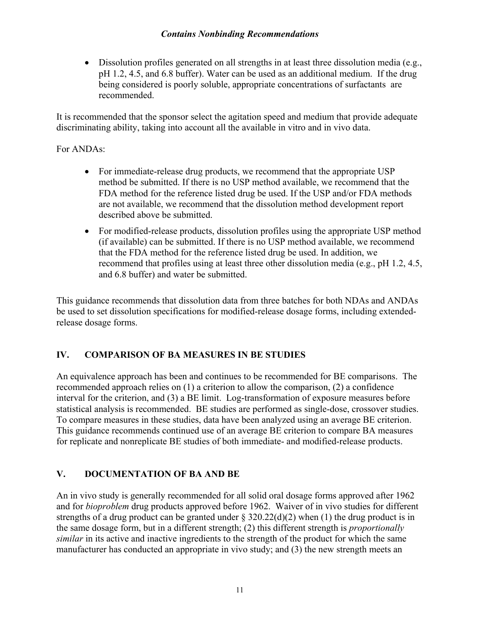• Dissolution profiles generated on all strengths in at least three dissolution media (e.g., pH 1.2, 4.5, and 6.8 buffer). Water can be used as an additional medium. If the drug being considered is poorly soluble, appropriate concentrations of surfactants are recommended.

It is recommended that the sponsor select the agitation speed and medium that provide adequate discriminating ability, taking into account all the available in vitro and in vivo data.

For ANDAs:

- For immediate-release drug products, we recommend that the appropriate USP method be submitted. If there is no USP method available, we recommend that the FDA method for the reference listed drug be used. If the USP and/or FDA methods are not available, we recommend that the dissolution method development report described above be submitted.
- For modified-release products, dissolution profiles using the appropriate USP method (if available) can be submitted. If there is no USP method available, we recommend that the FDA method for the reference listed drug be used. In addition, we recommend that profiles using at least three other dissolution media (e.g., pH 1.2, 4.5, and 6.8 buffer) and water be submitted.

This guidance recommends that dissolution data from three batches for both NDAs and ANDAs be used to set dissolution specifications for modified-release dosage forms, including extendedrelease dosage forms.

# <span id="page-13-0"></span>**IV. COMPARISON OF BA MEASURES IN BE STUDIES**

An equivalence approach has been and continues to be recommended for BE comparisons. The recommended approach relies on (1) a criterion to allow the comparison, (2) a confidence interval for the criterion, and (3) a BE limit. Log-transformation of exposure measures before statistical analysis is recommended. BE studies are performed as single-dose, crossover studies. To compare measures in these studies, data have been analyzed using an average BE criterion. This guidance recommends continued use of an average BE criterion to compare BA measures for replicate and nonreplicate BE studies of both immediate- and modified-release products.

# <span id="page-13-1"></span>**V. DOCUMENTATION OF BA AND BE**

An in vivo study is generally recommended for all solid oral dosage forms approved after 1962 and for *bioproblem* drug products approved before 1962. Waiver of in vivo studies for different strengths of a drug product can be granted under  $\S 320.22(d)(2)$  when (1) the drug product is in the same dosage form, but in a different strength; (2) this different strength is *proportionally similar* in its active and inactive ingredients to the strength of the product for which the same manufacturer has conducted an appropriate in vivo study; and (3) the new strength meets an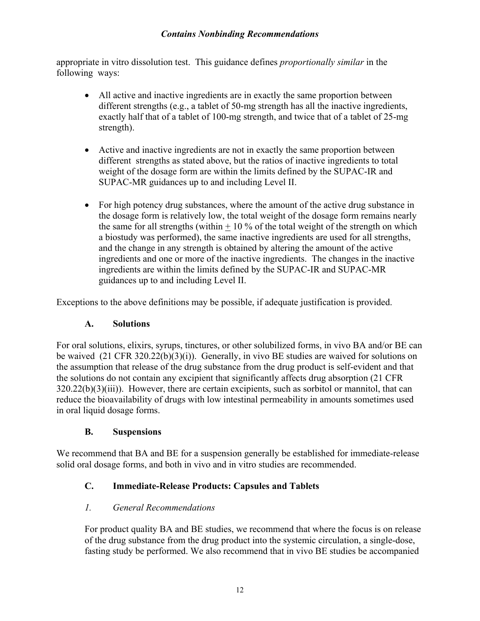appropriate in vitro dissolution test. This guidance defines *proportionally similar* in the following ways:

- All active and inactive ingredients are in exactly the same proportion between different strengths (e.g., a tablet of 50-mg strength has all the inactive ingredients, exactly half that of a tablet of 100-mg strength, and twice that of a tablet of 25-mg strength).
- Active and inactive ingredients are not in exactly the same proportion between different strengths as stated above, but the ratios of inactive ingredients to total weight of the dosage form are within the limits defined by the SUPAC-IR and SUPAC-MR guidances up to and including Level II.
- For high potency drug substances, where the amount of the active drug substance in the dosage form is relatively low, the total weight of the dosage form remains nearly the same for all strengths (within  $+10\%$  of the total weight of the strength on which a biostudy was performed), the same inactive ingredients are used for all strengths, and the change in any strength is obtained by altering the amount of the active ingredients and one or more of the inactive ingredients. The changes in the inactive ingredients are within the limits defined by the SUPAC-IR and SUPAC-MR guidances up to and including Level II.

Exceptions to the above definitions may be possible, if adequate justification is provided.

# <span id="page-14-0"></span>**A. Solutions**

For oral solutions, elixirs, syrups, tinctures, or other solubilized forms, in vivo BA and/or BE can be waived (21 CFR 320.22(b)(3)(i)). Generally, in vivo BE studies are waived for solutions on the assumption that release of the drug substance from the drug product is self-evident and that the solutions do not contain any excipient that significantly affects drug absorption (21 CFR 320.22(b)(3)(iii)). However, there are certain excipients, such as sorbitol or mannitol, that can reduce the bioavailability of drugs with low intestinal permeability in amounts sometimes used in oral liquid dosage forms.

# <span id="page-14-1"></span>**B. Suspensions**

We recommend that BA and BE for a suspension generally be established for immediate-release solid oral dosage forms, and both in vivo and in vitro studies are recommended.

# <span id="page-14-2"></span>**C. Immediate-Release Products: Capsules and Tablets**

# *1. General Recommendations*

For product quality BA and BE studies, we recommend that where the focus is on release of the drug substance from the drug product into the systemic circulation, a single-dose, fasting study be performed. We also recommend that in vivo BE studies be accompanied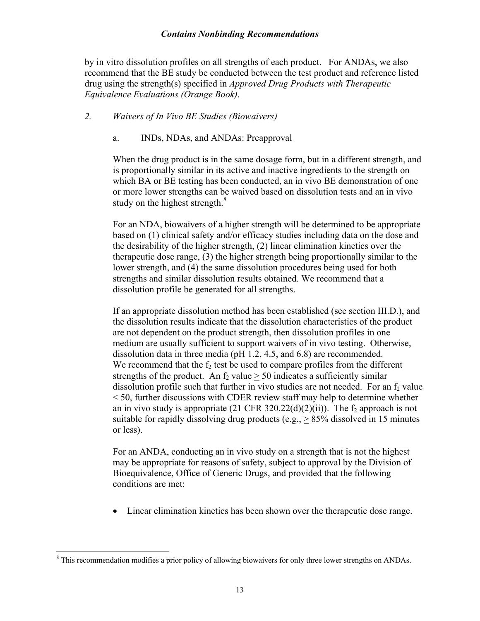by in vitro dissolution profiles on all strengths of each product. For ANDAs, we also recommend that the BE study be conducted between the test product and reference listed drug using the strength(s) specified in *Approved Drug Products with Therapeutic Equivalence Evaluations (Orange Book)*.

- *2. Waivers of In Vivo BE Studies (Biowaivers)*
	- a. INDs, NDAs, and ANDAs: Preapproval

When the drug product is in the same dosage form, but in a different strength, and is proportionally similar in its active and inactive ingredients to the strength on which BA or BE testing has been conducted, an in vivo BE demonstration of one or more lower strengths can be waived based on dissolution tests and an in vivo study on the highest strength. $8$ 

For an NDA, biowaivers of a higher strength will be determined to be appropriate based on (1) clinical safety and/or efficacy studies including data on the dose and the desirability of the higher strength, (2) linear elimination kinetics over the therapeutic dose range, (3) the higher strength being proportionally similar to the lower strength, and (4) the same dissolution procedures being used for both strengths and similar dissolution results obtained. We recommend that a dissolution profile be generated for all strengths.

If an appropriate dissolution method has been established (see section III.D.), and the dissolution results indicate that the dissolution characteristics of the product are not dependent on the product strength, then dissolution profiles in one medium are usually sufficient to support waivers of in vivo testing. Otherwise, dissolution data in three media (pH 1.2, 4.5, and 6.8) are recommended. We recommend that the  $f_2$  test be used to compare profiles from the different strengths of the product. An  $f_2$  value  $> 50$  indicates a sufficiently similar dissolution profile such that further in vivo studies are not needed. For an  $f<sub>2</sub>$  value < 50, further discussions with CDER review staff may help to determine whether an in vivo study is appropriate (21 CFR 320.22(d)(2)(ii)). The  $f_2$  approach is not suitable for rapidly dissolving drug products (e.g.,  $> 85\%$  dissolved in 15 minutes or less).

For an ANDA, conducting an in vivo study on a strength that is not the highest may be appropriate for reasons of safety, subject to approval by the Division of Bioequivalence, Office of Generic Drugs, and provided that the following conditions are met:

• Linear elimination kinetics has been shown over the therapeutic dose range.

 $\overline{a}$ 

<span id="page-15-0"></span><sup>8</sup> This recommendation modifies a prior policy of allowing biowaivers for only three lower strengths on ANDAs.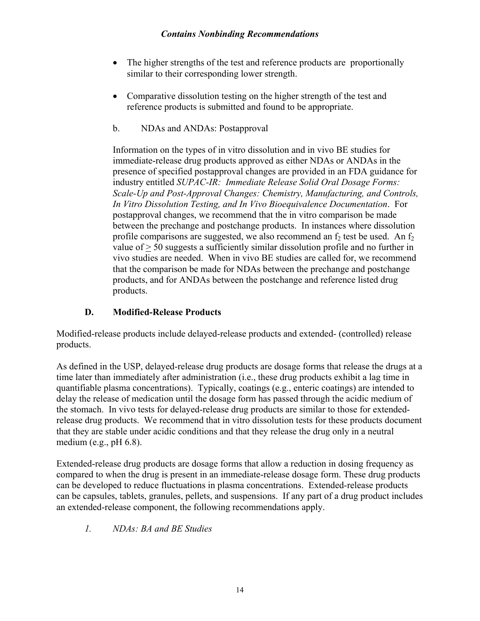- The higher strengths of the test and reference products are proportionally similar to their corresponding lower strength.
- Comparative dissolution testing on the higher strength of the test and reference products is submitted and found to be appropriate.
- b. NDAs and ANDAs: Postapproval

Information on the types of in vitro dissolution and in vivo BE studies for immediate-release drug products approved as either NDAs or ANDAs in the presence of specified postapproval changes are provided in an FDA guidance for industry entitled *SUPAC-IR: Immediate Release Solid Oral Dosage Forms: Scale-Up and Post-Approval Changes: Chemistry, Manufacturing, and Controls, In Vitro Dissolution Testing, and In Vivo Bioequivalence Documentation*. For postapproval changes, we recommend that the in vitro comparison be made between the prechange and postchange products. In instances where dissolution profile comparisons are suggested, we also recommend an  $f_2$  test be used. An  $f_2$ value of > 50 suggests a sufficiently similar dissolution profile and no further in vivo studies are needed. When in vivo BE studies are called for, we recommend that the comparison be made for NDAs between the prechange and postchange products, and for ANDAs between the postchange and reference listed drug products.

# <span id="page-16-0"></span>**D. Modified-Release Products**

Modified-release products include delayed-release products and extended- (controlled) release products.

As defined in the USP, delayed-release drug products are dosage forms that release the drugs at a time later than immediately after administration (i.e., these drug products exhibit a lag time in quantifiable plasma concentrations). Typically, coatings (e.g., enteric coatings) are intended to delay the release of medication until the dosage form has passed through the acidic medium of the stomach. In vivo tests for delayed-release drug products are similar to those for extendedrelease drug products. We recommend that in vitro dissolution tests for these products document that they are stable under acidic conditions and that they release the drug only in a neutral medium (e.g., pH 6.8).

Extended-release drug products are dosage forms that allow a reduction in dosing frequency as compared to when the drug is present in an immediate-release dosage form. These drug products can be developed to reduce fluctuations in plasma concentrations. Extended-release products can be capsules, tablets, granules, pellets, and suspensions. If any part of a drug product includes an extended-release component, the following recommendations apply.

*1. NDAs: BA and BE Studies*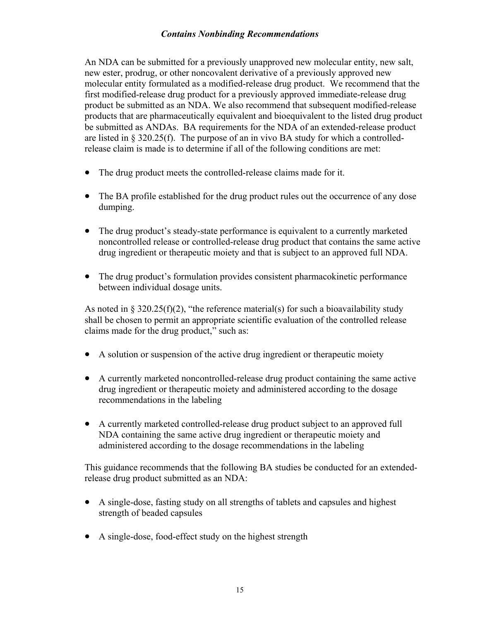An NDA can be submitted for a previously unapproved new molecular entity, new salt, new ester, prodrug, or other noncovalent derivative of a previously approved new molecular entity formulated as a modified-release drug product. We recommend that the first modified-release drug product for a previously approved immediate-release drug product be submitted as an NDA. We also recommend that subsequent modified-release products that are pharmaceutically equivalent and bioequivalent to the listed drug product be submitted as ANDAs. BA requirements for the NDA of an extended-release product are listed in § 320.25(f). The purpose of an in vivo BA study for which a controlledrelease claim is made is to determine if all of the following conditions are met:

- The drug product meets the controlled-release claims made for it.
- The BA profile established for the drug product rules out the occurrence of any dose dumping.
- The drug product's steady-state performance is equivalent to a currently marketed noncontrolled release or controlled-release drug product that contains the same active drug ingredient or therapeutic moiety and that is subject to an approved full NDA.
- The drug product's formulation provides consistent pharmacokinetic performance between individual dosage units.

As noted in  $\S 320.25(f)(2)$ , "the reference material(s) for such a bioavailability study shall be chosen to permit an appropriate scientific evaluation of the controlled release claims made for the drug product," such as:

- A solution or suspension of the active drug ingredient or therapeutic moiety
- A currently marketed noncontrolled-release drug product containing the same active drug ingredient or therapeutic moiety and administered according to the dosage recommendations in the labeling
- A currently marketed controlled-release drug product subject to an approved full NDA containing the same active drug ingredient or therapeutic moiety and administered according to the dosage recommendations in the labeling

This guidance recommends that the following BA studies be conducted for an extendedrelease drug product submitted as an NDA:

- A single-dose, fasting study on all strengths of tablets and capsules and highest strength of beaded capsules
- A single-dose, food-effect study on the highest strength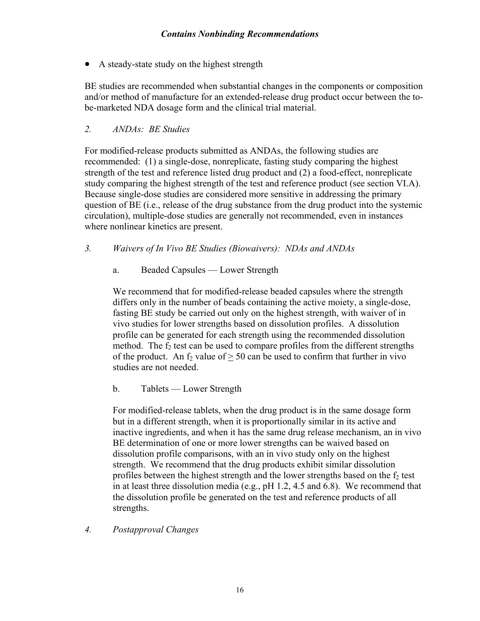• A steady-state study on the highest strength

BE studies are recommended when substantial changes in the components or composition and/or method of manufacture for an extended-release drug product occur between the tobe-marketed NDA dosage form and the clinical trial material.

# *2. ANDAs: BE Studies*

For modified-release products submitted as ANDAs, the following studies are recommended: (1) a single-dose, nonreplicate, fasting study comparing the highest strength of the test and reference listed drug product and (2) a food-effect, nonreplicate study comparing the highest strength of the test and reference product (see section VI.A). Because single-dose studies are considered more sensitive in addressing the primary question of BE (i.e., release of the drug substance from the drug product into the systemic circulation), multiple-dose studies are generally not recommended, even in instances where nonlinear kinetics are present.

- *3. Waivers of In Vivo BE Studies (Biowaivers): NDAs and ANDAs*
	- a. Beaded Capsules Lower Strength

We recommend that for modified-release beaded capsules where the strength differs only in the number of beads containing the active moiety, a single-dose, fasting BE study be carried out only on the highest strength, with waiver of in vivo studies for lower strengths based on dissolution profiles. A dissolution profile can be generated for each strength using the recommended dissolution method. The  $f_2$  test can be used to compare profiles from the different strengths of the product. An  $f_2$  value of  $> 50$  can be used to confirm that further in vivo studies are not needed.

b. Tablets — Lower Strength

For modified-release tablets, when the drug product is in the same dosage form but in a different strength, when it is proportionally similar in its active and inactive ingredients, and when it has the same drug release mechanism, an in vivo BE determination of one or more lower strengths can be waived based on dissolution profile comparisons, with an in vivo study only on the highest strength. We recommend that the drug products exhibit similar dissolution profiles between the highest strength and the lower strengths based on the  $f<sub>2</sub>$  test in at least three dissolution media (e.g., pH 1.2, 4.5 and 6.8). We recommend that the dissolution profile be generated on the test and reference products of all strengths.

*4. Postapproval Changes*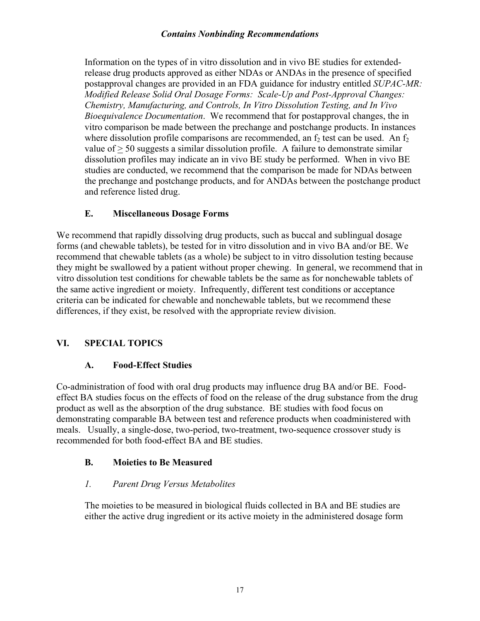Information on the types of in vitro dissolution and in vivo BE studies for extendedrelease drug products approved as either NDAs or ANDAs in the presence of specified postapproval changes are provided in an FDA guidance for industry entitled *SUPAC-MR: Modified Release Solid Oral Dosage Forms: Scale-Up and Post-Approval Changes: Chemistry, Manufacturing, and Controls, In Vitro Dissolution Testing, and In Vivo Bioequivalence Documentation*. We recommend that for postapproval changes, the in vitro comparison be made between the prechange and postchange products. In instances where dissolution profile comparisons are recommended, an  $f_2$  test can be used. An  $f_2$ value of > 50 suggests a similar dissolution profile. A failure to demonstrate similar dissolution profiles may indicate an in vivo BE study be performed. When in vivo BE studies are conducted, we recommend that the comparison be made for NDAs between the prechange and postchange products, and for ANDAs between the postchange product and reference listed drug.

# <span id="page-19-0"></span>**E. Miscellaneous Dosage Forms**

We recommend that rapidly dissolving drug products, such as buccal and sublingual dosage forms (and chewable tablets), be tested for in vitro dissolution and in vivo BA and/or BE. We recommend that chewable tablets (as a whole) be subject to in vitro dissolution testing because they might be swallowed by a patient without proper chewing. In general, we recommend that in vitro dissolution test conditions for chewable tablets be the same as for nonchewable tablets of the same active ingredient or moiety. Infrequently, different test conditions or acceptance criteria can be indicated for chewable and nonchewable tablets, but we recommend these differences, if they exist, be resolved with the appropriate review division.

# <span id="page-19-1"></span>**VI. SPECIAL TOPICS**

# <span id="page-19-2"></span>**A. Food-Effect Studies**

Co-administration of food with oral drug products may influence drug BA and/or BE. Foodeffect BA studies focus on the effects of food on the release of the drug substance from the drug product as well as the absorption of the drug substance. BE studies with food focus on demonstrating comparable BA between test and reference products when coadministered with meals. Usually, a single-dose, two-period, two-treatment, two-sequence crossover study is recommended for both food-effect BA and BE studies.

# <span id="page-19-3"></span>**B. Moieties to Be Measured**

# *1. Parent Drug Versus Metabolites*

The moieties to be measured in biological fluids collected in BA and BE studies are either the active drug ingredient or its active moiety in the administered dosage form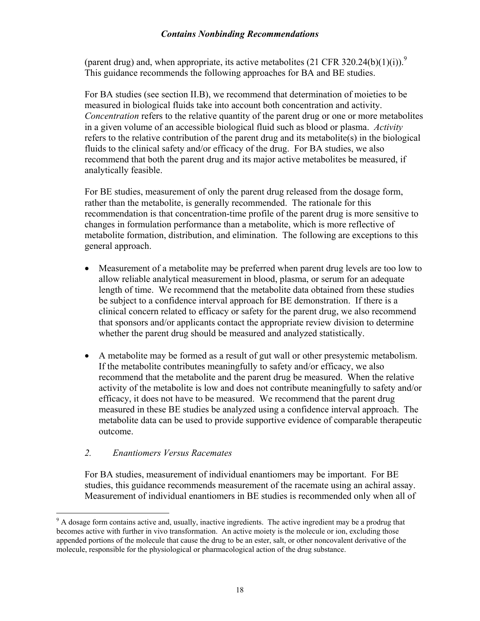(parent drug) and, when appropriate, its active metabolites  $(21 \text{ CFR } 320.24(b)(1)(i))^9$  $(21 \text{ CFR } 320.24(b)(1)(i))^9$ . This guidance recommends the following approaches for BA and BE studies.

For BA studies (see section II.B), we recommend that determination of moieties to be measured in biological fluids take into account both concentration and activity. *Concentration* refers to the relative quantity of the parent drug or one or more metabolites in a given volume of an accessible biological fluid such as blood or plasma. *Activity* refers to the relative contribution of the parent drug and its metabolite(s) in the biological fluids to the clinical safety and/or efficacy of the drug. For BA studies, we also recommend that both the parent drug and its major active metabolites be measured, if analytically feasible.

For BE studies, measurement of only the parent drug released from the dosage form, rather than the metabolite, is generally recommended. The rationale for this recommendation is that concentration-time profile of the parent drug is more sensitive to changes in formulation performance than a metabolite, which is more reflective of metabolite formation, distribution, and elimination. The following are exceptions to this general approach.

- Measurement of a metabolite may be preferred when parent drug levels are too low to allow reliable analytical measurement in blood, plasma, or serum for an adequate length of time. We recommend that the metabolite data obtained from these studies be subject to a confidence interval approach for BE demonstration. If there is a clinical concern related to efficacy or safety for the parent drug, we also recommend that sponsors and/or applicants contact the appropriate review division to determine whether the parent drug should be measured and analyzed statistically.
- A metabolite may be formed as a result of gut wall or other presystemic metabolism. If the metabolite contributes meaningfully to safety and/or efficacy, we also recommend that the metabolite and the parent drug be measured. When the relative activity of the metabolite is low and does not contribute meaningfully to safety and/or efficacy, it does not have to be measured. We recommend that the parent drug measured in these BE studies be analyzed using a confidence interval approach. The metabolite data can be used to provide supportive evidence of comparable therapeutic outcome.

# *2. Enantiomers Versus Racemates*

For BA studies, measurement of individual enantiomers may be important. For BE studies, this guidance recommends measurement of the racemate using an achiral assay. Measurement of individual enantiomers in BE studies is recommended only when all of

<span id="page-20-0"></span> $\overline{a}$ <sup>9</sup> A dosage form contains active and, usually, inactive ingredients. The active ingredient may be a prodrug that becomes active with further in vivo transformation. An active moiety is the molecule or ion, excluding those appended portions of the molecule that cause the drug to be an ester, salt, or other noncovalent derivative of the molecule, responsible for the physiological or pharmacological action of the drug substance.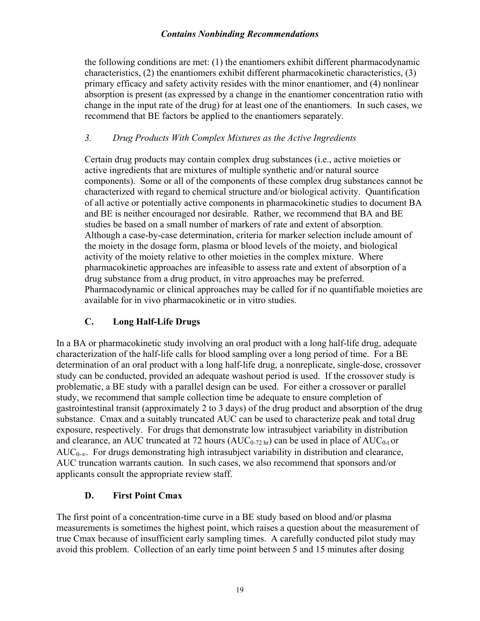the following conditions are met: (1) the enantiomers exhibit different pharmacodynamic characteristics, (2) the enantiomers exhibit different pharmacokinetic characteristics, (3) primary efficacy and safety activity resides with the minor enantiomer, and (4) nonlinear absorption is present (as expressed by a change in the enantiomer concentration ratio with change in the input rate of the drug) for at least one of the enantiomers. In such cases, we recommend that BE factors be applied to the enantiomers separately.

# *3. Drug Products With Complex Mixtures as the Active Ingredients*

Certain drug products may contain complex drug substances (i.e., active moieties or active ingredients that are mixtures of multiple synthetic and/or natural source components). Some or all of the components of these complex drug substances cannot be characterized with regard to chemical structure and/or biological activity. Quantification of all active or potentially active components in pharmacokinetic studies to document BA and BE is neither encouraged nor desirable. Rather, we recommend that BA and BE studies be based on a small number of markers of rate and extent of absorption. Although a case-by-case determination, criteria for marker selection include amount of the moiety in the dosage form, plasma or blood levels of the moiety, and biological activity of the moiety relative to other moieties in the complex mixture. Where pharmacokinetic approaches are infeasible to assess rate and extent of absorption of a drug substance from a drug product, in vitro approaches may be preferred. Pharmacodynamic or clinical approaches may be called for if no quantifiable moieties are available for in vivo pharmacokinetic or in vitro studies.

# <span id="page-21-0"></span>**C. Long Half-Life Drugs**

In a BA or pharmacokinetic study involving an oral product with a long half-life drug, adequate characterization of the half-life calls for blood sampling over a long period of time. For a BE determination of an oral product with a long half-life drug, a nonreplicate, single-dose, crossover study can be conducted, provided an adequate washout period is used. If the crossover study is problematic, a BE study with a parallel design can be used. For either a crossover or parallel study, we recommend that sample collection time be adequate to ensure completion of gastrointestinal transit (approximately 2 to 3 days) of the drug product and absorption of the drug substance. Cmax and a suitably truncated AUC can be used to characterize peak and total drug exposure, respectively. For drugs that demonstrate low intrasubject variability in distribution and clearance, an AUC truncated at 72 hours  $(AUC_{0.72 \text{ hr}})$  can be used in place of  $AUC_{0.1}$  or AUC<sub>0-∞</sub>. For drugs demonstrating high intrasubject variability in distribution and clearance, AUC truncation warrants caution. In such cases, we also recommend that sponsors and/or applicants consult the appropriate review staff.

# <span id="page-21-1"></span>**D. First Point Cmax**

The first point of a concentration-time curve in a BE study based on blood and/or plasma measurements is sometimes the highest point, which raises a question about the measurement of true Cmax because of insufficient early sampling times. A carefully conducted pilot study may avoid this problem. Collection of an early time point between 5 and 15 minutes after dosing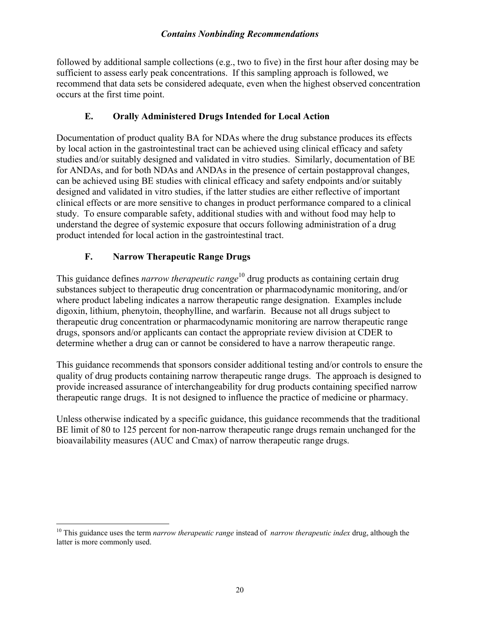followed by additional sample collections (e.g., two to five) in the first hour after dosing may be sufficient to assess early peak concentrations. If this sampling approach is followed, we recommend that data sets be considered adequate, even when the highest observed concentration occurs at the first time point.

# <span id="page-22-0"></span>**E. Orally Administered Drugs Intended for Local Action**

Documentation of product quality BA for NDAs where the drug substance produces its effects by local action in the gastrointestinal tract can be achieved using clinical efficacy and safety studies and/or suitably designed and validated in vitro studies. Similarly, documentation of BE for ANDAs, and for both NDAs and ANDAs in the presence of certain postapproval changes, can be achieved using BE studies with clinical efficacy and safety endpoints and/or suitably designed and validated in vitro studies, if the latter studies are either reflective of important clinical effects or are more sensitive to changes in product performance compared to a clinical study. To ensure comparable safety, additional studies with and without food may help to understand the degree of systemic exposure that occurs following administration of a drug product intended for local action in the gastrointestinal tract.

# <span id="page-22-1"></span>**F. Narrow Therapeutic Range Drugs**

 $\overline{a}$ 

This guidance defines *narrow therapeutic range*<sup>10</sup> drug products as containing certain drug substances subject to therapeutic drug concentration or pharmacodynamic monitoring, and/or where product labeling indicates a narrow therapeutic range designation. Examples include digoxin, lithium, phenytoin, theophylline, and warfarin. Because not all drugs subject to therapeutic drug concentration or pharmacodynamic monitoring are narrow therapeutic range drugs, sponsors and/or applicants can contact the appropriate review division at CDER to determine whether a drug can or cannot be considered to have a narrow therapeutic range.

This guidance recommends that sponsors consider additional testing and/or controls to ensure the quality of drug products containing narrow therapeutic range drugs. The approach is designed to provide increased assurance of interchangeability for drug products containing specified narrow therapeutic range drugs. It is not designed to influence the practice of medicine or pharmacy.

Unless otherwise indicated by a specific guidance, this guidance recommends that the traditional BE limit of 80 to 125 percent for non-narrow therapeutic range drugs remain unchanged for the bioavailability measures (AUC and Cmax) of narrow therapeutic range drugs.

<span id="page-22-2"></span><sup>10</sup> This guidance uses the term *narrow therapeutic range* instead of *narrow therapeutic index* drug, although the latter is more commonly used.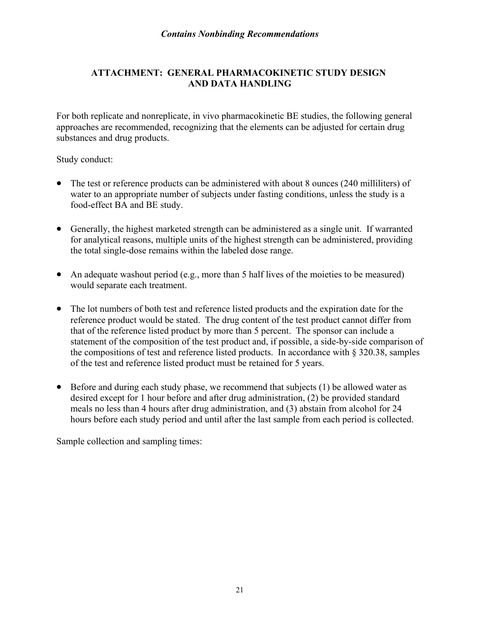# <span id="page-23-1"></span><span id="page-23-0"></span>**ATTACHMENT: GENERAL PHARMACOKINETIC STUDY DESIGN AND DATA HANDLING**

For both replicate and nonreplicate, in vivo pharmacokinetic BE studies, the following general approaches are recommended, recognizing that the elements can be adjusted for certain drug substances and drug products.

Study conduct:

- The test or reference products can be administered with about 8 ounces (240 milliliters) of water to an appropriate number of subjects under fasting conditions, unless the study is a food-effect BA and BE study.
- Generally, the highest marketed strength can be administered as a single unit. If warranted for analytical reasons, multiple units of the highest strength can be administered, providing the total single-dose remains within the labeled dose range.
- An adequate washout period (e.g., more than 5 half lives of the moieties to be measured) would separate each treatment.
- The lot numbers of both test and reference listed products and the expiration date for the reference product would be stated. The drug content of the test product cannot differ from that of the reference listed product by more than 5 percent. The sponsor can include a statement of the composition of the test product and, if possible, a side-by-side comparison of the compositions of test and reference listed products. In accordance with § 320.38, samples of the test and reference listed product must be retained for 5 years.
- Before and during each study phase, we recommend that subjects (1) be allowed water as desired except for 1 hour before and after drug administration, (2) be provided standard meals no less than 4 hours after drug administration, and (3) abstain from alcohol for 24 hours before each study period and until after the last sample from each period is collected.

Sample collection and sampling times: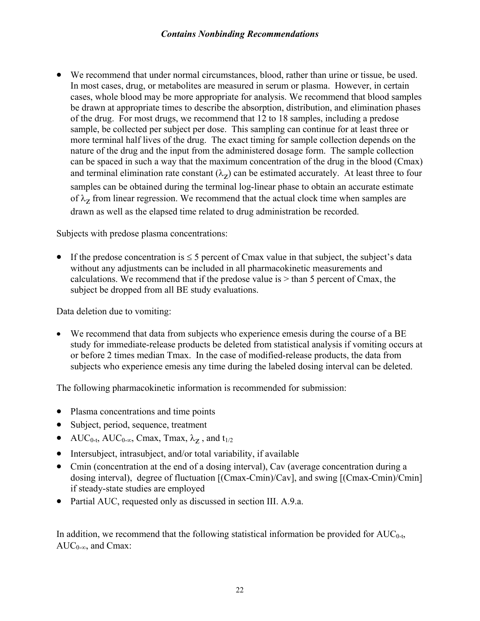• We recommend that under normal circumstances, blood, rather than urine or tissue, be used. In most cases, drug, or metabolites are measured in serum or plasma. However, in certain cases, whole blood may be more appropriate for analysis. We recommend that blood samples be drawn at appropriate times to describe the absorption, distribution, and elimination phases of the drug. For most drugs, we recommend that 12 to 18 samples, including a predose sample, be collected per subject per dose. This sampling can continue for at least three or more terminal half lives of the drug. The exact timing for sample collection depends on the nature of the drug and the input from the administered dosage form. The sample collection can be spaced in such a way that the maximum concentration of the drug in the blood (Cmax) and terminal elimination rate constant  $(\lambda_z)$  can be estimated accurately. At least three to four samples can be obtained during the terminal log-linear phase to obtain an accurate estimate of  $\lambda$ <sub>z</sub> from linear regression. We recommend that the actual clock time when samples are drawn as well as the elapsed time related to drug administration be recorded.

Subjects with predose plasma concentrations:

• If the predose concentration is  $\leq 5$  percent of Cmax value in that subject, the subject's data without any adjustments can be included in all pharmacokinetic measurements and calculations. We recommend that if the predose value is  $>$  than 5 percent of Cmax, the subject be dropped from all BE study evaluations.

Data deletion due to vomiting:

• We recommend that data from subjects who experience emess during the course of a BE study for immediate-release products be deleted from statistical analysis if vomiting occurs at or before 2 times median Tmax. In the case of modified-release products, the data from subjects who experience emesis any time during the labeled dosing interval can be deleted.

The following pharmacokinetic information is recommended for submission:

- Plasma concentrations and time points
- Subject, period, sequence, treatment
- AUC<sub>0-t</sub>, AUC<sub>0-∞</sub>, Cmax, Tmax,  $\lambda_z$ , and t<sub>1/2</sub>
- Intersubject, intrasubject, and/or total variability, if available
- Cmin (concentration at the end of a dosing interval), Cav (average concentration during a dosing interval), degree of fluctuation [(Cmax-Cmin)/Cav], and swing [(Cmax-Cmin)/Cmin] if steady-state studies are employed
- Partial AUC, requested only as discussed in section III. A.9.a.

In addition, we recommend that the following statistical information be provided for  $AUC_{0-t}$ ,  $AUC_{0-\infty}$ , and Cmax: